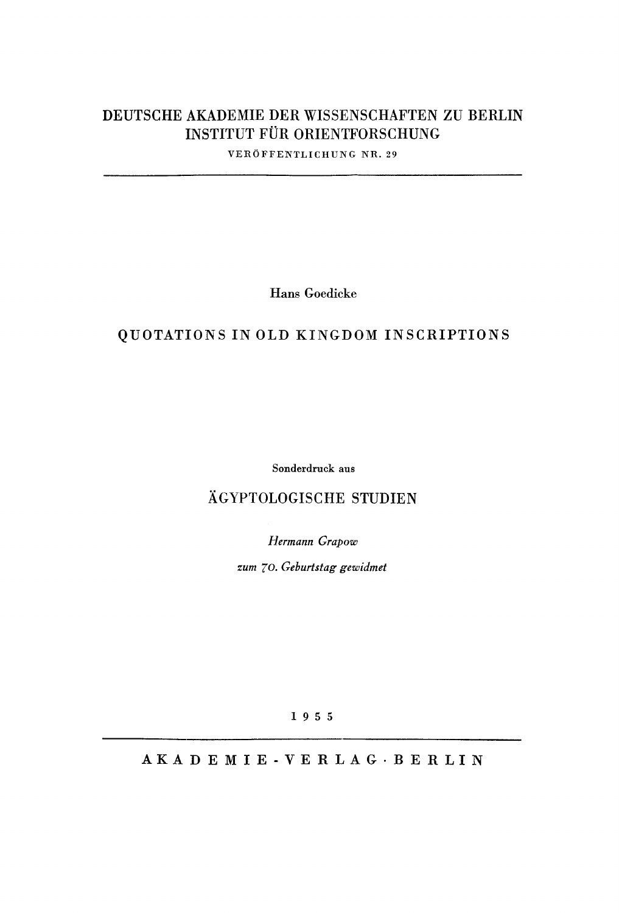## **DEUTSCHE AKADEMIE DER WISSENSCHAFTEN ZU BERLIN INSTITUT FÜR ORIENTFORSCHUNG**

VERÖFFENTLICHUNG NR. 29

**Hans Goedicke** 

## **QUOTATIONS IN OLD KINGDOM INSCRIPTION S**

Sonderdruck aus

## **ÄGYPTOLOGISCHE STUDIEN**

*Hermann Grapow* 

*zum 10. Geburtstag gewidmet* 

1 9 5 5

AKADEMIE - VERLAG · BERLIN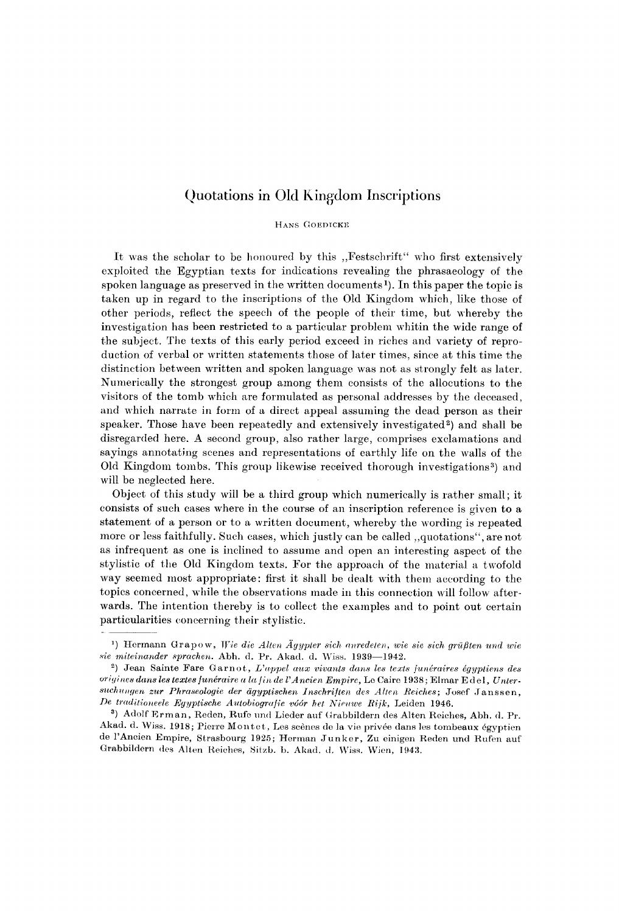### Quotations in Old Kingdom Inscriptions

HANS GOEDICKE

It was the scholar to be honoured by this "Festschrift" who first extensively exploited the Egyptian texts for indications revealing the phrasaeology of the spoken language as preserved in the written documents <sup>1</sup> ). In this paper the topic is taken up in regard to the inscriptions of the Old Kingdom which, like those of other periods, reflect the speech of the people of their time, but whereby the investigation has been restricted to a particular problem whitin the wide range of the subject. The texts of this early period exceed in riches and variety of reproduction of verbal or written statements those of later times, since at this time the distinction between written and spoken language was not as strongly felt as later. Numerically the strongest group among them consists of the allocutions to the visitors of the tomb which are formulated as personal addresses by the deceased, and which narrate in form of a direct appeal assuming the dead person as their speaker. Those have been repeatedly and extensively investigated<sup>2</sup>) and shall be disregarded here. A second group, also rather large, comprises exclamations and sayings annotating scenes and representations of earthly life on the walls of the Old Kingdom tombs. This group likewise received thorough investigations<sup>3</sup>) and will be neglected here.

Object of this study will be a third group which numerically is rather small; it consists of such cases where in the course of an inscription reference is given to a statement of a person or to a written document, whereby the wording is repeated more or less faithfully. Such cases, which justly can be called ,,quotations", are not as infrequent as one is inclined to assume and open an interesting aspect of the stylistic of the Old Kingdom texts. For the approach of the material a twofold way seemed most appropriate: first it shall be dealt with them according to the topics concerned, while the observations made in this connection will follow afterwards. The intention thereby is to collect the examples and to point out certain particularities concerning their stylistic.

<sup>1</sup> ) Horman n Grapow , *Wie die Allen Ägypter sich anredeten, wie sie sich grüßten und wie sie miteinander sprachen.* Abh . d. Pr. Akad . d. Wiss. 1939—1942.

<sup>&</sup>lt;sup>2</sup>) Jean Sainte Fare Garnot, *L'appel aux vivants dans les texts junéraires égyptiens des origines dans les textes funéraire a la fin de l'Ancien Empire*, Le Caire 1938; Elmar Edel, Unter $suchungen zur Phraseologie der ägyptischen Inschriften des Alten Reiches; Josef Jansen,$ *De traditioneele Egyptische Autobiografie v66r het Nieuwe liijk,* Leiden 1946.

<sup>°)</sup> Adolf Erman, Reden, Rufe und Lieder auf Grabbildern des Alten Reiches, Abh. d. Pr. Akad. d. Wiss. 1918; Pierre Montet, Les scènes de la vie privée dans les tombeaux égyptien de l'Ancien Empire, Strasbourg 1925; Herman Junker, Zu einigen Reden und Rufen auf Grabbildern des Alten Reiches, Sitzb. b. Akad. d. Wiss. Wien, 1943.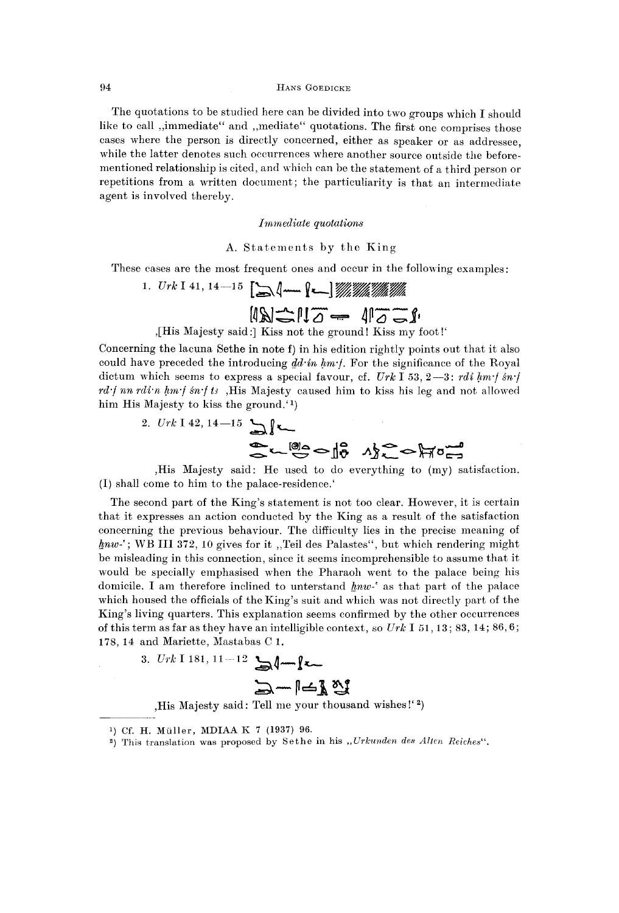The quotations to be studied here can be divided into two groups which I should like to call ,,immediate" and ,,mediate" quotations. The first one comprises those cases where the person is directly concerned, either as speaker or as addressee, while the latter denotes such occurrences where another source outside the beforementioned relationship is cited, and which can be the statement of a third person or repetitions from a written document; the particuliarity is that an intermediate agent is involved thereby.

### *Immediate quotations*

### A. Statements by the King

These cases are the most frequent ones and occur in the following examples:

1. 
$$
Urk I
$$
 41, 14—15  $[\Delta \text{1} - \text{1} \text{1}] \text{ 1}$ 

,[His Majesty said:] Kiss not the ground! Kiss my foot!'

Concerning the lacuna Sethe in note f) in his edition rightly points out that it also could have preceded the introducing *dd-in hm-f.* For the significance of the Royal dictum which seems to express a special favour, cf. *Urk* I 53, 2—3: *rdi hm-f sn-f rd-f nn rdi-n hm-f sn-f ts* ,His Majesty caused him to kiss his leg and not allowed him His Majesty to kiss the ground.<sup>1</sup>)

> 2.  $Urk$  I 42, 14-15 Sweed is no from

,His Majesty said: He used to do everything to (my) satisfaction. (I) shall come to him to the palace-residence.'

The second part of the King's statement is not too clear. However, it is certain that it expresses an action conducted by the King as a result of the satisfaction concerning the previous behaviour. The difficulty lies in the precise meaning of *hnw-'*; WB III 372, 10 gives for it ,,Teil des Palastes", but which rendering might be misleading in this connection, since it seems incomprehensible to assume that it would be specially emphasised when the Pharaoh went to the palace being his domicile. I am therefore inclined to unterstand *hnw-'* as that part of the palace which housed the officials of the King's suit and which was not directly part of the King's living quarters. This explanation seems confirmed by the other occurrences of this term as far as they have an intelligible context, so *Urk* I 51, 13; 83, 14; 86,6; 178, 14 and Mariette, Mastabas C 1.

3. 
$$
Urk
$$
 1181, 11-12  $\Box$  1-  $\Box$ 

,His Majesty said: Tell me your thousand wishes!' <sup>2</sup> )

<sup>&</sup>lt;sup>1</sup>) Cf. H. Müller, MDIAA K 7 (1937) 96.

<sup>&</sup>lt;sup>2</sup>) This translation was proposed by Sethe in his *"Urkunden des Alten Reiches"*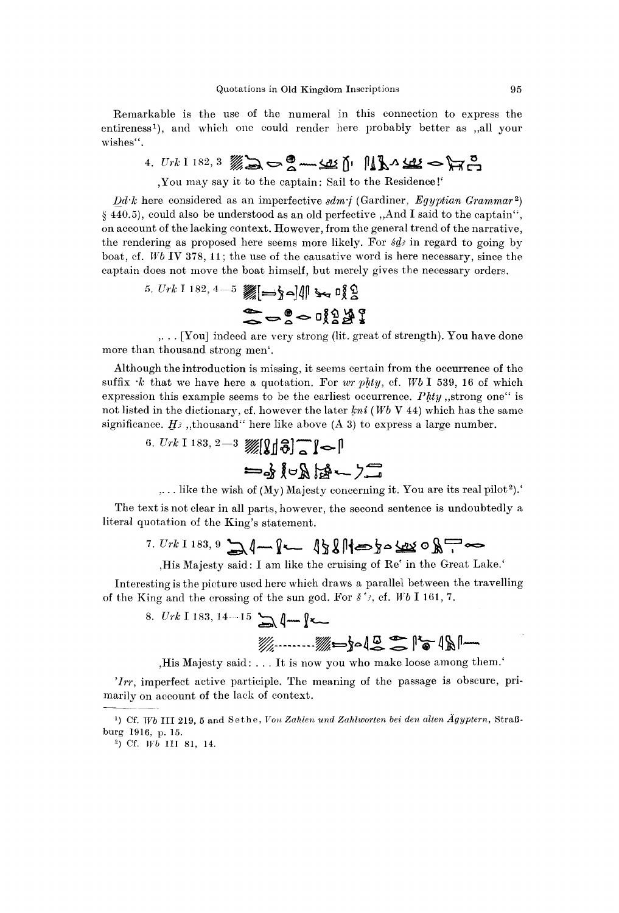Remarkable is the use of the numeral in this connection to express the entireness <sup>1</sup> ), and which one could render here probably better as ,,all your wishes".

4.  $Urk$  I 182, 3  $\mathscr{W}_{\infty}$   $\Rightarrow$  8 -  $\mathscr{Q}$  -  $\mathscr{L}$   $\mathscr{U}$   $\uparrow$   $\mathscr{V}_{\infty}$   $\mathscr{L}$   $\Rightarrow$   $\mathscr{V}_{\infty}$   $\mathscr{Z}_{\infty}$ 

,You may say it to the captain: Sail to the Residence!'

*Dd-k* here considered as an imperfective *sdm-f* (Gardiner, *Egyptian Grammar<sup>2</sup> )*  § 440.5), could also be understood as an old perfective ,,And I said to the captain", on account of the lacking context. However, from the general trend of the narrative, the rendering as proposed here seems more likely. For *sdi* in regard to going by boat, cf. *Wb* IV 378, 11; the use of the causative word is here necessary, since the captain does not move the boat himself, but merely gives the necessary orders.

5. 
$$
Urk
$$
 1 182, 4-5   
  $W = \frac{1}{2} \cdot 2$ 

,. . . [You] indeed are very strong (lit. great of strength). You have done more than thousand strong men'.

Although the introduction is missing, it seems certain from the occurrence of the suffix *-k* that we have here a quotation. For *wr phty,* cf. *Wb* I 539, 16 of which expression this example seems to be the earliest occurrence. *Phty*,,strong one" is not listed in the dictionary, cf. however the later *kni* (*Wb* V 44) which has the same significance.  $H_2$ , thousand" here like above (A 3) to express a large number.

6. *Urk* I 183, 2—3

 $,...$  like the wish of (My) Majesty concerning it. You are its real pilot<sup>2</sup>).

The text is not clear in all parts, however, the second sentence is undoubtedly a literal quotation of the King's statement.

,His Majesty said: I am like the cruising of Re' in the Great Lake.'

Interesting is the picture used here which draws a parallel between the travelling of the King and the crossing of the sun god. For *s 'j,* cf. *Wb* I 161, 7.

8. *Urk* 1 183, 14-15 
$$
\rightarrow
$$
 4 m  $\rightarrow$  6  $\rightarrow$  6  $\rightarrow$  1 m  $\rightarrow$  1 m  $\rightarrow$  1 m  $\rightarrow$  1 m  $\rightarrow$  1 m  $\rightarrow$  1 m  $\rightarrow$  1 m  $\rightarrow$  1 m  $\rightarrow$  1 m  $\rightarrow$  1 m  $\rightarrow$  1 m  $\rightarrow$  1 m  $\rightarrow$  1 m  $\rightarrow$  1 m  $\rightarrow$  1 m  $\rightarrow$  1 m  $\rightarrow$  1 m  $\rightarrow$  1 m  $\rightarrow$  1 m  $\rightarrow$  1 m  $\rightarrow$  1 m  $\rightarrow$  1 m  $\rightarrow$  1 m  $\rightarrow$  1 m  $\rightarrow$  1 m  $\rightarrow$  1 m  $\rightarrow$  1 m  $\rightarrow$  1 m  $\rightarrow$  1 m  $\rightarrow$  1 m  $\rightarrow$  1 m  $\rightarrow$  1 m  $\rightarrow$  1 m  $\rightarrow$  1 m  $\rightarrow$  1 m  $\rightarrow$  1 m  $\rightarrow$  1 m  $\rightarrow$  1 m  $\rightarrow$  1 m  $\rightarrow$  1 m  $\rightarrow$  1 m  $\rightarrow$  1 m  $\rightarrow$  1 m  $\rightarrow$  1 m  $\rightarrow$  1 m  $\rightarrow$  1 m  $\rightarrow$  1 m  $\rightarrow$  1 m  $\rightarrow$  1 m  $\rightarrow$  1 m  $\rightarrow$  1 m  $\rightarrow$  1 m  $\rightarrow$  1 m  $\rightarrow$  1 m  $\rightarrow$  1 m  $\rightarrow$  1 m  $\rightarrow$  1 m  $\rightarrow$  1 m  $\rightarrow$  1 m  $\rightarrow$  1 m  $\rightarrow$  1 m  $\rightarrow$  1 m  $\rightarrow$  1 m  $\rightarrow$  1 m  $\rightarrow$  1 m  $\rightarrow$  1 m  $\rightarrow$  1 m  $\rightarrow$  1 m  $\rightarrow$  1 m  $\rightarrow$  1 m  $\rightarrow$  1 m  $\rightarrow$ 

,His Majesty said: .. . It is now you who make loose among them.'

*'Irr,* imperfect active participle. The meaning of the passage is obscure, primarily on account of the lack of context.

<sup>&</sup>lt;sup>1</sup>) Cf. Wb III 219, 5 and Sethe, Von Zahlen und Zahlworten bei den alten Ägyptern, Straßburg 1916, p. 15.

<sup>&</sup>lt;sup>2</sup>) Cf. Wb III 81, 14.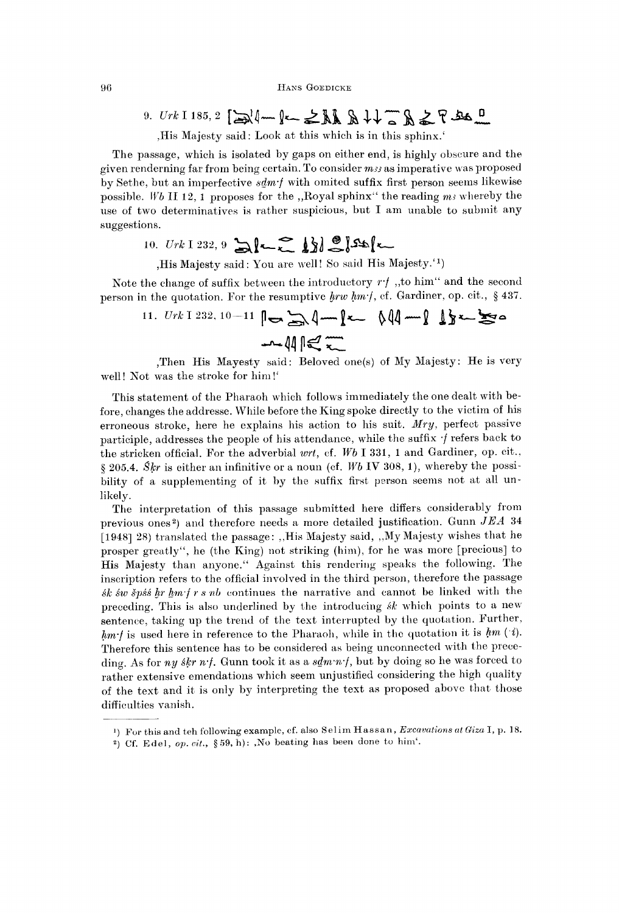9. 
$$
Urk
$$
 1185, 2  $\rightarrow$  1-  $\rightarrow$  1.  $\rightarrow$  1.  $\rightarrow$  1.  $\rightarrow$  1.  $\rightarrow$  1.  $\rightarrow$  1.  $\rightarrow$  1.  $\rightarrow$  1.  $\rightarrow$  1.  $\rightarrow$  1.  $\rightarrow$  1.  $\rightarrow$  1.  $\rightarrow$  1.  $\rightarrow$  1.  $\rightarrow$  1.  $\rightarrow$  1.  $\rightarrow$  1.  $\rightarrow$  1.  $\rightarrow$  1.  $\rightarrow$  1.  $\rightarrow$  1.  $\rightarrow$  1.  $\rightarrow$  1.  $\rightarrow$  1.  $\rightarrow$  1.  $\rightarrow$  1.  $\rightarrow$  1.  $\rightarrow$  1.  $\rightarrow$  1.  $\rightarrow$  1.  $\rightarrow$  1.  $\rightarrow$  1.  $\rightarrow$  1.  $\rightarrow$  1.  $\rightarrow$  1.  $\rightarrow$  1.  $\rightarrow$  1.  $\rightarrow$  1.  $\rightarrow$  1.  $\rightarrow$  1.  $\rightarrow$  1.  $\rightarrow$  1.  $\rightarrow$  1.  $\rightarrow$  1.  $\rightarrow$  1.  $\rightarrow$  1.  $\rightarrow$  1.  $\rightarrow$  1.  $\rightarrow$  1.  $\rightarrow$  1.  $\rightarrow$  1.  $\rightarrow$  1.  $\rightarrow$  1.  $\rightarrow$  1.  $\rightarrow$  1.  $\rightarrow$  1.  $\rightarrow$  1.  $\rightarrow$  1.  $\rightarrow$  1.  $\rightarrow$  1.  $\rightarrow$  1.  $\rightarrow$  1.  $\rightarrow$  1.  $\rightarrow$  1.  $\rightarrow$  1.  $\rightarrow$  1.  $\rightarrow$  1.  $\rightarrow$  1.  $\rightarrow$  1.  $\rightarrow$  1.  $\rightarrow$  1.  $\rightarrow$  1.  $\rightarrow$  1.  $\rightarrow$ 

,His Majesty said: Look at this which is in this sphinx.'

The passage, which is isolated by gaps on either end, is highly obscure and the given renderning far from being certain. To consider *ma* as imperative was proposed by Sethe, but an imperfective *sdm-f* with omited suffix first person seems likewise possible. *Wb* II 12, 1 proposes for the ,,Royal sphinx" the reading *mi* whereby the use of two determinatives is rather suspicious, but I am unable to submit any suggestions.

10. 
$$
Urk
$$
 1 232, 9  $\sum_{k=1}^{n} \frac{1}{k} \frac{1}{k} \frac{1}{k} \frac{1}{k}$ 

,His Majesty said: You are well! So said His Majesty.' <sup>1</sup> )

Note the change of suffix between the introductory *r-f* ,,to him" and the second person in the quotation. For the resumptive *hrw hm-f,* cf. Gardiner, op. cit., § 437.

11. 
$$
Urk
$$
 1 232, 10-11  $\left\| \bigoplus_{m} \bigoplus_{m} \left( \text{mod } m \right) \right\|$  132.  $\frac{1}{2}$ 

,Then His Mayesty said: Beloved one(s) of My Majesty: He is very well! Not was the stroke for him!'

This statement of the Pharaoh which follows immediately the one dealt with before, changes the addresse. While before the King spoke directly to the victim of his erroneous stroke, here he explains his action to his suit. *Mry,* perfect passive participle, addresses the people of his attendance, while the suffix  $\cdot$  f refers back to the stricken official. For the adverbial *wrt,* cf. *Wb* I 331, 1 and Gardiner, op. cit., § 205.4. *Skr* is either an infinitive or a noun (cf. *Wb* IV 308, 1), whereby the possibility of a supplementing of it by the suffix first person seems not at all unlikely.

The interpretation of this passage submitted here differs considerably from previous ones <sup>2</sup> ) and therefore needs a more detailed justification. Gunn *JEA* 34 [1948] 28) translated the passage: ,,His Majesty said, ,,My Majesty wishes that he prosper greatly", he (the King) not striking (him), for he was more [precious] to His Majesty than anyone." Against this rendering speaks the following. The inscription refers to the official involved in the third person, therefore the passage *sk sw S'pss hr hm-f r s nb* continues the narrative and cannot be linked with the preceding. This is also underlined by the introducing *sk* which points to a new sentence, taking up the trend of the text interrupted by the quotation. Further, *hm-f* is used here in reference to the Pharaoh, while in the quotation it is *hm (i).*  Therefore this sentence has to be considered as being unconnected with the preceding. As for *ny skr n-f.* Gunn took it as a *sdm-n-f,* but by doing so he was forced to rather extensive emendations which seem unjustified considering the high quality of the text and it is only by interpreting the text as proposed above that those difficulties vanish.

<sup>&</sup>lt;sup>1</sup>) For this and teh following example, cf. also Selim Hassan, *Excavations at Giza* I, p. 18.

<sup>&</sup>lt;sup>2</sup>) Cf. Edel, *op. cit.*, §59, h): ,No beating has been done to him'.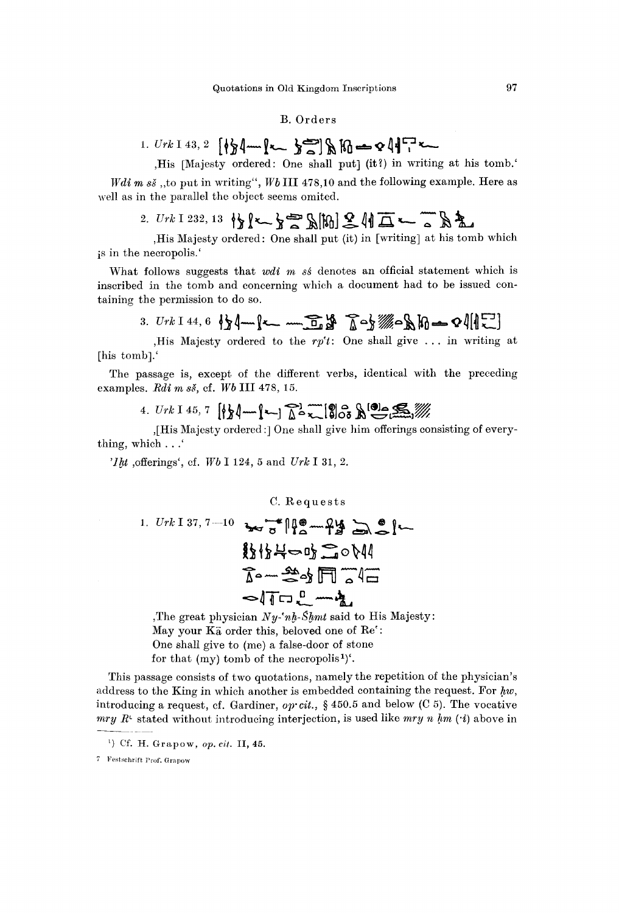### B. Orders

1. 
$$
Urk \perp 43
$$
, 2  $[\sqrt[4]{2}]$   $\longrightarrow$   $\frac{1}{2}$   $\frac{1}{2}$   $\frac{1}{2}$   $\frac{1}{2}$   $\frac{1}{2}$   $\frac{1}{2}$   $\frac{1}{2}$   $\frac{1}{2}$   $\frac{1}{2}$   $\frac{1}{2}$   $\frac{1}{2}$   $\frac{1}{2}$   $\frac{1}{2}$   $\frac{1}{2}$   $\frac{1}{2}$   $\frac{1}{2}$   $\frac{1}{2}$   $\frac{1}{2}$   $\frac{1}{2}$   $\frac{1}{2}$   $\frac{1}{2}$   $\frac{1}{2}$   $\frac{1}{2}$   $\frac{1}{2}$   $\frac{1}{2}$   $\frac{1}{2}$   $\frac{1}{2}$   $\frac{1}{2}$   $\frac{1}{2}$   $\frac{1}{2}$   $\frac{1}{2}$   $\frac{1}{2}$   $\frac{1}{2}$   $\frac{1}{2}$   $\frac{1}{2}$   $\frac{1}{2}$   $\frac{1}{2}$   $\frac{1}{2}$   $\frac{1}{2}$   $\frac{1}{2}$   $\frac{1}{2}$   $\frac{1}{2}$   $\frac{1}{2}$   $\frac{1}{2}$   $\frac{1}{2}$   $\frac{1}{2}$   $\frac{1}{2}$   $\frac{1}{2}$   $\frac{1}{2}$   $\frac{1}{2}$   $\frac{1}{2}$   $\frac{1}{2}$   $\frac{1}{2}$   $\frac{1}{2}$   $\frac{1}{2}$   $\frac{1}{2}$   $\frac{1}{2}$   $\frac{1}{2}$   $\frac{1}{2}$   $\frac{1}{2}$   $\frac{1}{2}$   $\frac{1}{2}$   $\frac{1}{2}$   $\frac{1}{2}$   $\frac{1}{2}$   $\frac{1}{2}$  <

*Wdi m*  $s\check{s}$ , to put in writing", Wb III 478,10 and the following example. Here as well as in the parallel the object seems omited.

# $_{2.~Urk~I~232,~13}$   $\frac{1}{2}$   $\left\{ \left\langle \cdot\right\rangle \right\}$   $\stackrel{\textstyle \sim}{\sim}$   $\mathbb{R}$   $\mathbb{R}$   $\stackrel{\textstyle \sim}{\sim}$   $\stackrel{\textstyle \sim}{\sim}$   $\mathbb{R}$   $\stackrel{\textstyle \sim}{\sim}$

,His Majesty ordered: One shall put (it) in [writing] at his tomb which is in the necropolis.'

What follows suggests that *wdi m sé* denotes an official statement which is inscribed in the tomb and concerning which a document had to be issued containing the permission to do so.

3. 
$$
Urk
$$
 1 44, 6  $\{x \mid x \in \mathbb{R} \mid x \in \mathbb{R} \mid x \in \mathbb{R} \mid x \in \mathbb{R} \mid x \in \mathbb{R} \mid x \in \mathbb{R} \mid x \in \mathbb{R} \mid x \in \mathbb{R} \mid x \in \mathbb{R} \mid x \in \mathbb{R} \mid x \in \mathbb{R} \mid x \in \mathbb{R} \mid x \in \mathbb{R} \mid x \in \mathbb{R} \mid x \in \mathbb{R} \mid x \in \mathbb{R} \mid x \in \mathbb{R} \mid x \in \mathbb{R} \mid x \in \mathbb{R} \mid x \in \mathbb{R} \mid x \in \mathbb{R} \mid x \in \mathbb{R} \mid x \in \mathbb{R} \mid x \in \mathbb{R} \mid x \in \mathbb{R} \mid x \in \mathbb{R} \mid x \in \mathbb{R} \mid x \in \mathbb{R} \mid x \in \mathbb{R} \mid x \in \mathbb{R} \mid x \in \mathbb{R} \mid x \in \mathbb{R} \mid x \in \mathbb{R} \mid x \in \mathbb{R} \mid x \in \mathbb{R} \mid x \in \mathbb{R} \mid x \in \mathbb{R} \mid x \in \mathbb{R} \mid x \in \mathbb{R} \mid x \in \mathbb{R} \mid x \in \mathbb{R} \mid x \in \mathbb{R} \mid x \in \mathbb{R} \mid x \in \mathbb{R} \mid x \in \mathbb{R} \mid x \in \mathbb{R} \mid x \in \mathbb{R} \mid x \in \mathbb{R} \mid x \in \mathbb{R} \mid x \in \mathbb{R} \mid x \in \mathbb{R} \mid x \in \mathbb{R} \mid x \in \mathbb{R} \mid x \in \mathbb{R} \mid x \in \mathbb{R} \mid x \in \mathbb{R} \mid x \in \mathbb{R} \mid x \in \mathbb{R} \mid x \in \mathbb{R} \mid x \in \mathbb{R} \mid x \in \mathbb{R} \mid x \in \mathbb{R} \mid x \in \mathbb{R} \mid x \in \mathbb{R} \mid x \in \mathbb{R} \mid x \in \mathbb{R} \mid x \in \mathbb{R} \mid x \in$ 

,His Majesty ordered to the  $rp't$ : One shall give ... in writing at [his tomb].'

The passage is, except of the different verbs, identical with the preceding examples. *Edi m sS,* cf. *Wb* III 478, 15.

4.  $Urk$  I 45, 7  $\left[\frac{k}{2}\right]$  m  $\left[\frac{k}{2}\right]$   $\left[\frac{m}{2}\right]$   $\left[\frac{m}{2}\right]$   $\left[\frac{m}{2}\right]$   $\left[\frac{m}{2}\right]$ 

,[His Majesty ordered :] One shall give him offerings consisting of everything, which . . .'

*'Iht* , offerings', cf. Wb I 124, 5 and Urk I 31, 2.

C. Requests  
\n1. Urk I 37, 7-10 
$$
\rightarrow 3
$$
  $\rightarrow 7$   $\rightarrow 8$   $\rightarrow 6$   $\rightarrow 6$   $\rightarrow 6$   $\rightarrow 6$   $\rightarrow 6$   $\rightarrow 6$   $\rightarrow 6$   $\rightarrow 6$   $\rightarrow 6$   $\rightarrow 6$   $\rightarrow 6$   $\rightarrow 6$   $\rightarrow 6$   $\rightarrow 6$   $\rightarrow 6$   $\rightarrow 6$   $\rightarrow 6$   $\rightarrow 6$   $\rightarrow 6$   $\rightarrow 6$   $\rightarrow 6$   $\rightarrow 6$   $\rightarrow 6$   $\rightarrow 6$   $\rightarrow 6$   $\rightarrow 6$   $\rightarrow 6$   $\rightarrow 6$   $\rightarrow 6$   $\rightarrow 6$   $\rightarrow 6$   $\rightarrow 6$   $\rightarrow 6$   $\rightarrow 6$   $\rightarrow 6$   $\rightarrow 6$   $\rightarrow 6$   $\rightarrow 6$   $\rightarrow 6$   $\rightarrow 6$   $\rightarrow 6$   $\rightarrow 6$   $\rightarrow 6$   $\rightarrow 6$   $\rightarrow 6$   $\rightarrow 6$   $\rightarrow 6$   $\rightarrow 6$   $\rightarrow 6$   $\rightarrow 6$   $\rightarrow 6$   $\rightarrow 6$   $\rightarrow 6$   $\rightarrow 6$   $\rightarrow 6$   $\rightarrow 6$   $\rightarrow 6$   $\rightarrow 6$   $\rightarrow 6$   $\rightarrow 6$   $\rightarrow 6$   $\rightarrow 6$   $\rightarrow 6$   $\rightarrow 6$   $\rightarrow 6$   $\rightarrow 6$   $\rightarrow 6$   $\rightarrow 6$   $\rightarrow 6$   $\rightarrow 6$   $\rightarrow 6$   $\rightarrow 6$   $\rightarrow 6$   $\rightarrow 6$   $\rightarrow 6$   $\rightarrow 6$   $\rightarrow 6$   $\rightarrow 6$   $\rightarrow 6$   $\rightarrow 6$ 

,The great physician *Ny-'nh-Shmt* said to His Majesty: May your  $\tilde{K}$  order this, beloved one of  $\text{Re}'$ : One shall give to (me) a false-door of stone for that (my) tomb of the necropolis<sup>1</sup>)<sup> $\cdot$ </sup>.

This passage consists of two quotations, namely the repetition of the physician's address to the King in which another is embedded containing the request. For *hw,*  introducing a request, cf. Gardiner, *ojrcit.,* § 450.5 and below (C 5). The vocative *mry R*<sup>c</sup> stated without introducing interjection, is used like *mry n hm* (*•i*) above in

<sup>&</sup>lt;sup>1</sup>) Cf. H. Grapow, *op. cit*. II, 45.

<sup>7</sup> Festschrift Prof. Grapow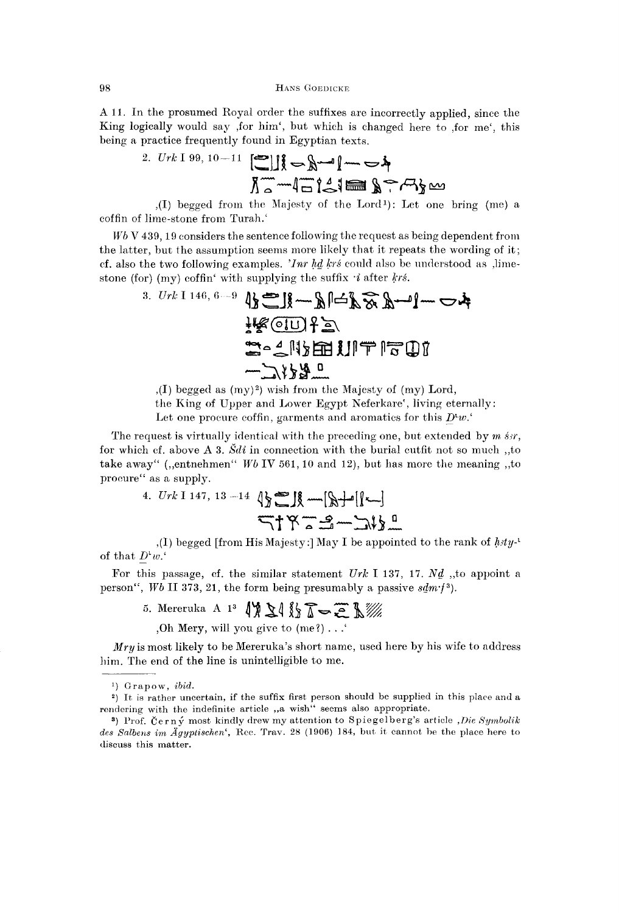A 11. In the prosumed Royal order the suffixes are incorrectly applied, since the King logically would say ,for him', but which is changed here to ,for me', this being a practice frequently found in Egyptian texts.

2. 
$$
Urk \, 199, 10-11
$$
   
  $\begin{array}{c} \hline \text{S} \\ \hline \text{S} \end{array}$ 

,(I) begged from the Majesty of the Lord<sup>1</sup> ): Let one bring (me) a coffin of lime-stone from Turah.'

*Wb* V 439, 19 considers the sentence following the request as being dependent from the latter, but the assumption seems more likely that it repeats the wording of it; cf. also the two following examples. *Чпг Ы krs* could also be understood as ,limestone (for) (my) coffin' with supplying the suffix *-i* after *krs.* 

\n
$$
\frac{3. Urt 1146, 6-9 \, \text{kg} \cdot \text{m} \cdot \text{m} \cdot \text{m} \cdot \text{m} \cdot \text{m} \cdot \text{m}}{4 \, \text{kg} \cdot \text{m} \cdot \text{m} \cdot \text{m} \cdot \text{m} \cdot \text{m} \cdot \text{m} \cdot \text{m}}
$$
\n

\n\n $\frac{1 \, \text{kg} \cdot \text{m} \cdot \text{m}}{4 \, \text{kg} \cdot \text{m} \cdot \text{m} \cdot \text{m} \cdot \text{m}}$ \n

 $(1)$  begged as  $(my)^2)$  wish from the Majesty of  $(my)$  Lord,

the King of Upper and Lower Egypt Neferkare', living eternally:

Let one procure coffin, garments and aromatics for this  $D^{\iota}w$ .

The request is virtually identical with the preceding one, but extended by *m sir,*  for which cf. above A 3. *Sdi* in connection with the burial outfit not so much ,,to take away" (,,entnehmen" *Wb* IV 561, 10 and 12), but has more the meaning ,,to procure" as a supply.

4. 
$$
Urk
$$
 1147, 13 -14  $\sqrt{\frac{1}{2}}$   $\mathbb{R} \longrightarrow [\sqrt[3]{-\frac{1}{2}}]$ 

,(I) begged [from His Majesty:] May I be appointed to the rank of  $h$ <sup>1</sup>/<sub>2</sub><sup>1</sup> of that  $D^{\iota}w$ .

For this passage, cf. the similar statement  $Urk$  I 137, 17.  $N\underline{d}$  , to appoint a person", *Wb* II 373, 21, the form being presumably a passive *sdm-f<sup>a</sup> ).* 

5. Mereruka A 1<sup>3</sup>  $\{ \n\}\n\{ \n\}$   $\sqrt{2}$   $\sqrt{2}$ 

,Oh Mery, will you give to (me?) . . .'

*Mryis* most likely to be Mereruka's short name, used here by his wife to address him. The end of the line is unintelligible to me.

<sup>&</sup>lt;sup>1</sup>) Grapow, *ibid.* 

<sup>&</sup>lt;sup>2</sup>) It is rather uncertain, if the suffix first person should be supplied in this place and a rendering with the indefinite article "a wish" seems also appropriate.

<sup>&</sup>lt;sup>3</sup>) Prof. Černý most kindly drew my attention to Spiegelberg's article *,Die Symbolik des Salbens im Ägyptischen'*, Rec. Trav. 28 (1906) 184, but it cannot be the place here to discuss this matter.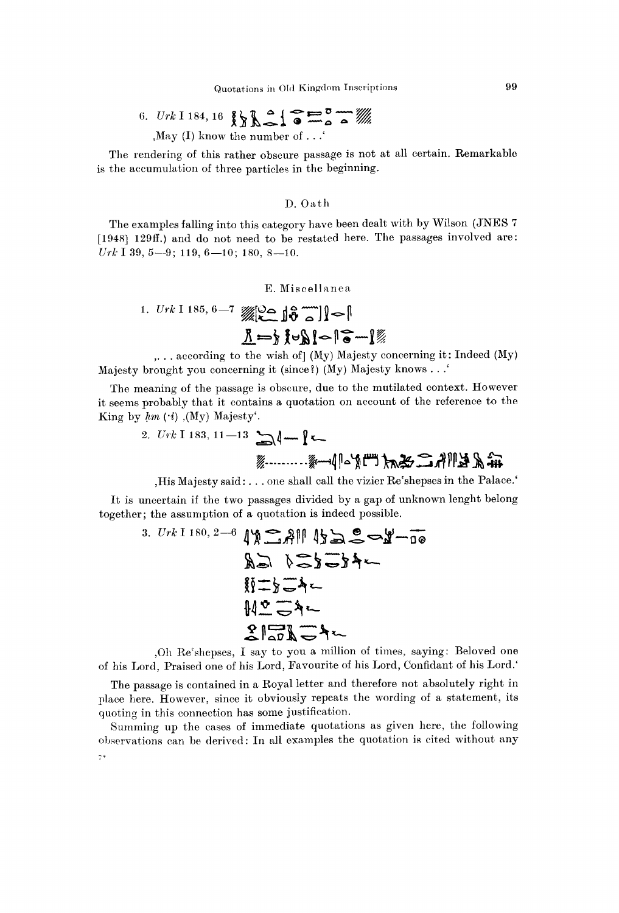6. Urk 1 184, 16 
$$
\{ \}
$$
  $\{ \}$   $\}$   $\}$   $\frac{3}{2}$   $\}$   $\frac{3}{2}$   $\frac{3}{2}$   $\frac{3}{2}$   $\frac{3}{2}$   $\frac{3}{2}$   $\frac{3}{2}$   $\frac{3}{2}$   $\frac{3}{2}$   $\frac{3}{2}$   $\frac{3}{2}$   $\frac{3}{2}$   $\frac{3}{2}$   $\frac{3}{2}$   $\frac{3}{2}$   $\frac{3}{2}$   $\frac{3}{2}$   $\frac{3}{2}$   $\frac{3}{2}$   $\frac{3}{2}$   $\frac{3}{2}$   $\frac{3}{2}$   $\frac{3}{2}$   $\frac{3}{2}$   $\frac{3}{2}$   $\frac{3}{2}$   $\frac{3}{2}$   $\frac{3}{2}$   $\frac{3}{2}$   $\frac{3}{2}$   $\frac{3}{2}$   $\frac{3}{2}$   $\frac{3}{2}$   $\frac{3}{2}$   $\frac{3}{2}$   $\frac{3}{2}$   $\frac{3}{2}$   $\frac{3}{2}$   $\frac{3}{2}$   $\frac{3}{2}$   $\frac{3}{2}$   $\frac{3}{2}$   $\frac{3}{2}$   $\frac{3}{2}$   $\frac{3}{2}$   $\frac{3}{2}$   $\frac{3}{2}$   $\frac{3}{2}$   $\frac{3}{2}$   $\frac{3}{2}$   $\frac{3}{2}$   $\frac{3}{2}$   $\frac{3}{2}$   $\frac{3}{2}$   $\frac{3}{2}$   $\frac{3}{2}$   $\frac{3}{2}$   $\frac{3}{2}$   $\frac{3}{2}$   $\frac{3}{2}$   $\frac{3}{2}$   $\frac{3}{2}$   $\frac{3}{2}$   $\frac{3}{2}$   $\frac{3}{2}$  

, May (I) know the number of  $\ldots$ 

The rendering of this rather obscure passage is not at all certain. Remarkable is the accumulation of three particles in the beginning.

### D. Oath

The examples falling into this category have been dealt with by Wilson (JNES 7 [1948] 129ff.) and do not need to be restated here. The passages involved are: *Urk* I 39, 5—9; 119, 6—10; 180, 8—10.

E. Miscellane a

1. 
$$
Urk
$$
 1 185, 6—7  $W$  10 10 10 10 10 10 10 10 10 1

,. . . according to the wish of] (My) Majesty concerning it: Indeed (My) Majesty brought you concerning it (since?) (My) Majesty knows . . .'

The meaning of the passage is obscure, due to the mutilated context. However it seems probably that it contains a quotation on account of the reference to the King by  $hm$   $(i)$ ,  $My$ ) Majesty<sup>'</sup>.

\n
$$
2. Urk \, 1183, 11 - 13 \sum_{\text{max}} \left( -\frac{1}{\sqrt{2}} \right)
$$
\n

,His Majesty said: . . . one shall call the vizier Re'shepses in the Palace.'

It is uncertain if the two passages divided by a gap of unknown lenght belong together; the assumption of a quotation is indeed possible.

3. Urk I 180, 2-6 1y SAM 13 3 0 mg  $A\subseteq Y \subseteq Y \subseteq A$ 新二点一个  $M^0 - A$  $21777$ 

,Oh Re'shepses, I say to you a million of times, saying: Beloved one of his Lord, Praised one of his Lord, Favourite of his Lord, Confidant of his Lord.'

The passage is contained in a Royal letter and therefore not absolutely right in place here. However, since it obviously repeats the wording of a statement, its quoting in this connection has some justification.

Summing up the cases of immediate quotations as given here, the following observations can be derived: In all examples the quotation is cited without any  $7*$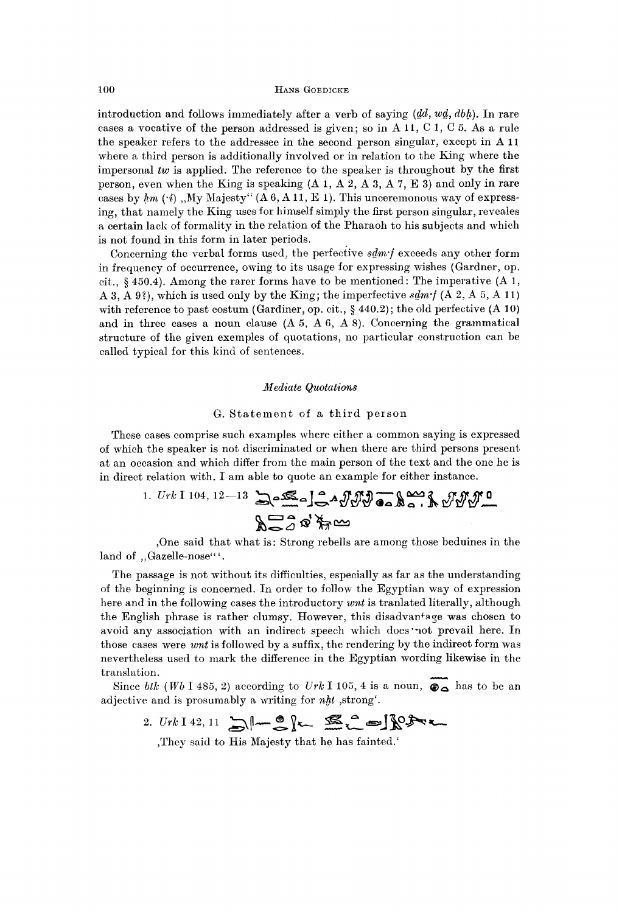introduction and follows immediately after a verb of saying  $(dd, wd, dbh)$ . In rare cases a vocative of the person addressed is given; so in A 11, C 1, C 5. As a rule the speaker refers to the addressee in the second person singular, except in A 11 where a third person is additionally involved or in relation to the King where the impersonal *tw* is applied. The reference to the speaker is throughout by the first person, even when the King is speaking  $(A_1, A_2, A_3, A_7, E_3)$  and only in rare cases by  $hm$  ( $\cdot i$ ), My Majesty" (A 6, A 11, E 1). This unceremonous way of expressing, that namely the King uses for himself simply the first person singular, reveales a certain lack of formality in the relation of the Pharaoh to his subjects and which is not found in this form in later periods.

Concerning the verbal forms used, the perfective *sdm-f* exceeds any other form in frequency of occurrence, owing to its usage for expressing wishes (Gardner, op. cit., § 450.4). Among the rarer forms have to be mentioned: The imperative (A 1, A 3, A 9?), which is used only by the King; the imperfective *sdm-f* (A 2, A 5, A 11) with reference to past costum (Gardiner, op. cit.,  $\S$  440.2); the old perfective (A 10) and in three cases a noun clause  $(A 5, A 6, A 8)$ . Concerning the grammatical structure of the given exemples of quotations, no particular construction can be called typical for this kind of sentences.

### *Mediate Quotations*

### G. Statement of a third person

These cases comprise such examples where either a common saying is expressed of which the speaker is not discriminated or when there are third persons present at an occasion and which differ from the main person of the text and the one he is in direct relation with. I am able to quote an example for either instance.

1. Urk I 104, 12–13 
$$
3.28
$$
  $3.3$   $3.3$   $3.3$   $3.3$   $3.3$   $3.3$   $3.3$   $3.3$   $3.3$   $3.3$   $3.3$   $3.3$   $3.3$   $3.3$   $3.3$   $3.3$   $3.3$   $3.3$   $3.3$   $3.3$   $3.3$   $3.3$   $3.3$   $3.3$   $3.3$   $3.3$   $3.3$   $3.3$   $3.3$   $3.3$   $3.3$   $3.3$   $3.3$   $3.3$   $3.3$   $3.3$   $3.3$   $3.3$   $3.3$   $3.3$   $3.3$   $3.3$   $3.3$   $3.3$   $3.3$   $3.3$   $3.3$   $3.3$   $3.3$   $3.3$   $3.3$   $3.3$   $3.3$   $3.3$   $3.3$   $3.3$   $3.3$   $3.3$   $3.3$   $3.3$   $3.3$   $3.3$   $3.3$   $3.3$   $3.3$   $3.3$   $3.3$   $3.3$   $3.3$   $3.3$   $3.3$   $3.3$   $3.3$   $3.3$   $3.3$   $3.3$   $3.3$   $3.3$   $3.3$   $3.3$   $3.3$   $3.3$  <

,One said that what is: Strong rebells are among those beduines in the land of "Gazelle-nose"'.

The passage is not without its difficulties, especially as far as the understanding of the beginning is concerned. In order to follow the Egyptian way of expression here and in the following cases the introductory *wnt* is tranlated literally, although the English phrase is rather clumsy. However, this disadvantage was chosen to avoid any association with an indirect speech which does'not prevail here. In those cases were *wnt* is followed by a suffix, the rendering by the indirect form was nevertheless used to mark the difference in the Egyptian wording likewise in the translation.

Since *btk* (Wb I 485, 2) according to Urk I 105, 4 is a noun,  $\otimes$  has to be an adjective and is prosumably a writing for *nht* ,strong'.

$$
2. Urk 142, 11 \sum_{m} \left| \cos \left( \frac{m}{2} \right) \right| \leq \sum_{m} \left| \cos \left( \frac{m}{2} \right) \right| \leq \sum_{m} \left| \cos \left( \frac{m}{2} \right) \right| \leq \sum_{m} \left| \cos \left( \frac{m}{2} \right) \right| \leq \left| \cos \left( \frac{m}{2} \right) \right| \leq \left| \cos \left( \frac{m}{2} \right) \right| \leq \left| \cos \left( \frac{m}{2} \right) \right| \leq \left| \cos \left( \frac{m}{2} \right) \right| \leq \left| \cos \left( \frac{m}{2} \right) \right| \leq \left| \cos \left( \frac{m}{2} \right) \right| \leq \left| \cos \left( \frac{m}{2} \right) \right| \leq \left| \cos \left( \frac{m}{2} \right) \right| \leq \left| \cos \left( \frac{m}{2} \right) \right| \leq \left| \cos \left( \frac{m}{2} \right) \right| \leq \left| \cos \left( \frac{m}{2} \right) \right| \leq \left| \cos \left( \frac{m}{2} \right) \right| \leq \left| \cos \left( \frac{m}{2} \right) \right| \leq \left| \cos \left( \frac{m}{2} \right) \right| \leq \left| \cos \left( \frac{m}{2} \right) \right| \leq \left| \cos \left( \frac{m}{2} \right) \right| \leq \left| \cos \left( \frac{m}{2} \right) \right| \leq \left| \cos \left( \frac{m}{2} \right) \right| \leq \left| \cos \left( \frac{m}{2} \right) \right| \leq \left| \cos \left( \frac{m}{2} \right) \right| \leq \left| \cos \left( \frac{m}{2} \right) \right| \leq \left| \cos \left( \frac{m}{2} \right) \right| \leq \left| \cos \left( \frac{m}{2} \right) \right| \leq \left| \cos \left( \frac{m}{2} \right) \right| \leq \left| \cos \left( \frac{m}{2} \right) \right| \leq \left| \cos \left( \frac{m}{2} \right) \right| \leq \left| \cos \left
$$

,They said to His Majesty that he has fainted.'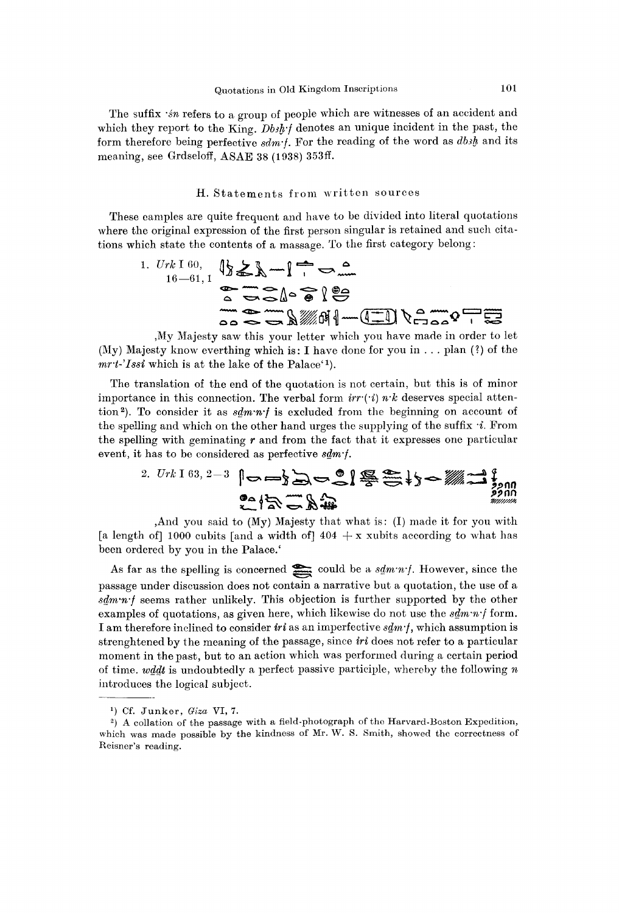The suffix  $sin$  refers to a group of people which are witnesses of an accident and which they report to the King. *Dbsh-f* denotes an unique incident in the past, the form therefore being perfective *sdm-f.* For the reading of the word as *dbih* and its meaning, see Grdseloff, ASAE 38 (1938) 353ff.

### H. Statements from written sources

These camples are quite frequent and have to be divided into literal quotations where the original expression of the first person singular is retained and such citations which state the contents of a massage. To the first category belong :

1. 
$$
Urk 160
$$
,  $\{\}\&\ \mathbb{R} \longrightarrow \mathbb{R}$ 

,My Majesty saw this your letter which you have made in order to let (My) Majesty know everthing which is: I have done for you in  $\dots$  plan (?) of the mrt-'Issi which is at the lake of the Palace<sup>'1</sup>).

The translation of the end of the quotation is not certain, but this is of minor importance in this connection. The verbal form  $irr(i)$  n<sup>-k</sup> deserves special attention<sup>2</sup>). To consider it as  $s\llbracket m\cdot n' \rrbracket$  is excluded from the beginning on account of the spelling and which on the other hand urges the supplying of the suffix *-i.* From the spelling with geminating *r* and from the fact that it expresses one particular event, it has to be considered as perfective *sdm-f.* 

\n
$$
2. Urt 163, 2 - 3 \quad \text{or} \quad \text{or} \quad \text{or} \quad \text{or} \quad \text{or} \quad \text{or} \quad \text{or} \quad \text{or} \quad \text{or} \quad \text{or} \quad \text{or} \quad \text{or} \quad \text{or} \quad \text{or} \quad \text{or} \quad \text{or} \quad \text{or} \quad \text{or} \quad \text{or} \quad \text{or} \quad \text{or} \quad \text{or} \quad \text{or} \quad \text{or} \quad \text{or} \quad \text{or} \quad \text{or} \quad \text{or} \quad \text{or} \quad \text{or} \quad \text{or} \quad \text{or} \quad \text{or} \quad \text{or} \quad \text{or} \quad \text{or} \quad \text{or} \quad \text{or} \quad \text{or} \quad \text{or} \quad \text{or} \quad \text{or} \quad \text{or} \quad \text{or} \quad \text{or} \quad \text{or} \quad \text{or} \quad \text{or} \quad \text{or} \quad \text{or} \quad \text{or} \quad \text{or} \quad \text{or} \quad \text{or} \quad \text{or} \quad \text{or} \quad \text{or} \quad \text{or} \quad \text{or} \quad \text{or} \quad \text{or} \quad \text{or} \quad \text{or} \quad \text{or} \quad \text{or} \quad \text{or} \quad \text{or} \quad \text{or} \quad \text{or} \quad \text{or} \quad \text{or} \quad \text{or} \quad \text{or} \quad \text{or} \quad \text{or} \quad \text{or} \quad \text{or} \quad \text{or} \quad \text{or} \quad \text{or} \quad \text{or} \quad \text{or} \quad \text{or} \quad \text{or} \quad \text{or} \quad \text{or} \quad \text{or} \quad \text{or} \quad \text{or} \quad \text{or} \quad \text{or} \quad \text{or} \quad \text{or} \quad \text{or} \quad \text{or} \quad \text{or} \quad \text{or} \quad \text{or} \quad \text{or} \quad \text{or} \quad \text{or} \quad \text{or} \quad \text{or} \quad \text{or} \quad \text{or} \quad \text{or} \quad \
$$

,And you said to (My) Majesty that what is: (I) made it for you with [a length of] 1000 cubits [and a width of]  $404 + x$  xubits according to what has been ordered by you in the Palace.'

As far as the spelling is concerned could be a  $sdm\cdot n\cdot f$ . However, since the passage under discussion does not contain a narrative but a quotation, the use of a *sdm-n-f* seems rather unlikely. This objection is further supported by the other examples of quotations, as given here, which likewise do not use the  $sdm\cdot n'$  form. I am therefore inclined to consider *iri* as an imperfective *sdm-f,* which assumption is strenghtened by the meaning of the passage, since *iri* does not refer to a particular moment in the past, but to an action which was performed during a certain period of time, *wddt* is undoubtedly a perfect passive participle, whereby the following *n*  introduces the logical subject.

x ) Cf. Junker , *Giza* VI, 7.

<sup>&</sup>lt;sup>2</sup>) A collation of the passage with a field-photograph of the Harvard-Boston Expedition, which was made possible by the kindness of Mr. W. S. Smith, showed the correctness of Reisner's reading.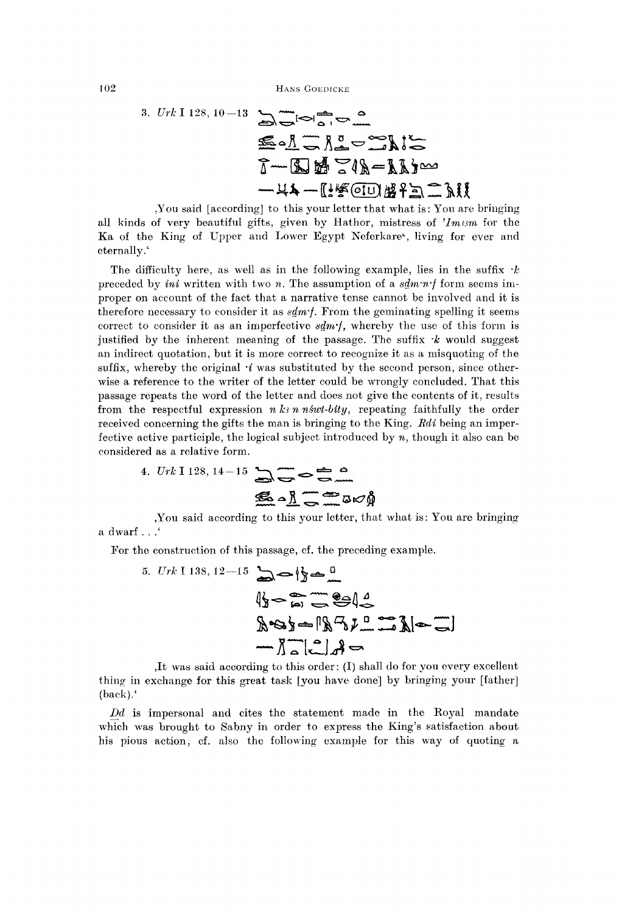10<del>2</del> HANS GOEDICILE

3. Urk 1 128, 10-13 
$$
\sum_{n=0}^{\infty} \frac{1}{n} \sum_{n=0}^{\infty} \frac{1}{n}
$$
  
\n $\sum_{n=0}^{\infty} \frac{1}{n} \sum_{n=0}^{\infty} \frac{1}{n} \sum_{n=0}^{\infty} \frac{1}{n} \sum_{n=0}^{\infty} \frac{1}{n}$   
\n $\sum_{n=0}^{\infty} \frac{1}{n} \sum_{n=0}^{\infty} \frac{1}{n} \sum_{n=0}^{\infty} \frac{1}{n} \sum_{n=0}^{\infty} \frac{1}{n}$ 

You said [according] to this your letter that what is: You are bringing all kinds of very beautiful gifts, given by Hathor, mistress of *'Imisrn* for the Ka of the King of Upper and Lower Egypt Neferkare<sup>1</sup>, living for ever and eternally.'

The difficulty here, as well as in the following example, lies in the suffix *-k*  preceded by *ini* written with two *n.* The assumption of a *sdiwn-f* form seems improper on account of the fact that a narrative tense cannot be involved and it is therefore necessary to consider it as *sdm'f.* From the geminating spelling it seems correct to consider it as an imperfective *sdm'f,* whereby the use of this form is justified by the inherent meaning of the passage. The suffix *-k* would suggest an indirect quotation, but it is more correct to recognize it as a misquoting of the suffix, whereby the original *'i* was substituted by the second person, since otherwise a reference to the writer of the letter could be wrongly concluded. That this passage repeats the word of the letter and does not give the contents of it, results from the respectful expression  $n \, k \cdot n \text{ is } n \cdot k \cdot b \cdot d \cdot y$ , repeating faithfully the order received concerning the gifts the man is bringing to the King. *Bdi* being an imperfective active participle, the logical subject introduced by *n,* though it also can be considered as a relative form.

4. 
$$
Urk
$$
 1 128, 14-15  $\sum \epsilon$  6 m

,You said according to this your letter, that what is: You are bringing a dwarf . . .'

For the construction of this passage, cf. the preceding example.

5. 
$$
Urk \times 138, 12-15
$$
  
\n $\sqrt{3} - \frac{m}{n} = 12$   
\n $\sqrt{3} - \frac{m}{n} = 12$   
\n $\sqrt{3} = 12$   
\n $\sqrt{3} = 12$   
\n $\sqrt{3} = 12$   
\n $\sqrt{3} = 12$ 

,It was said according to this order: (I) shall do for you every excellent thing in exchange for this great task [you have done] by bringing your [father] (back).'

*Dd* is impersonal and cites the statement made in the Royal mandate which was brought to Sabny in order to express the King's satisfaction about his pious action, cf. also the following example for this way of quoting a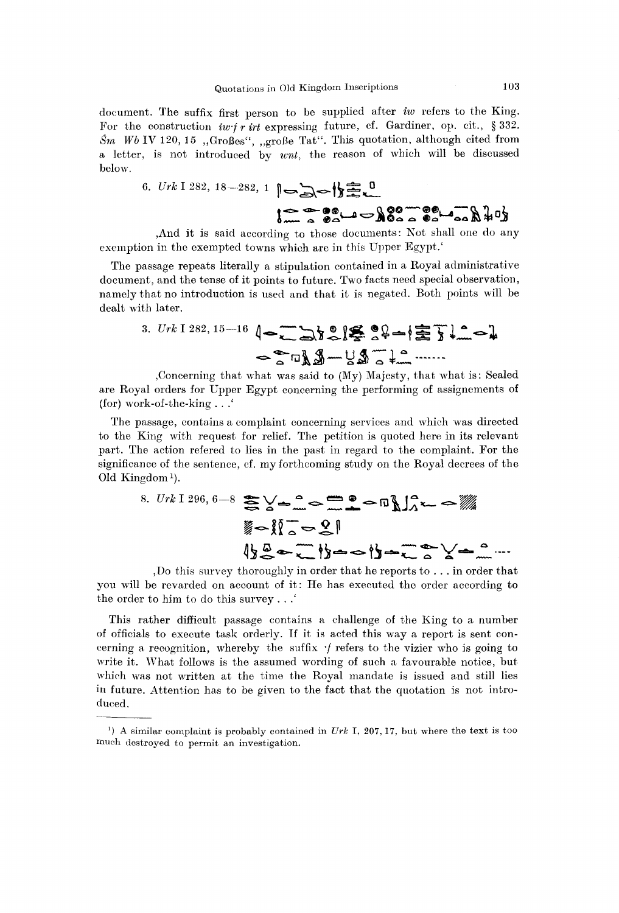document. The suffix first person to be supplied after *iw* refers to the King. For the construction *Iwf r irt* expressing future, cf. Gardiner, op. cit., § 332. *Sm Wb* IV 120, 15 "Großes", "große Tat". This quotation, although cited from a letter, is not introduced by *writ,* the reason of which will be discussed below.

6. 
$$
Urk 1 282, 18-282, 1
$$
  $0 \rightarrow \mathbb{R}$ 

,And it is said according to those documents: Not shall one do any exemption in the exempted towns which are in this Upper Egypt.'

The passage repeats literally a stipulation contained in a Royal administrative document, and the tense of it points to future. Two facts need special observation, namely that no introduction is used and that it is negated. Both points will be dealt with later.

3. 
$$
Urk \leq 282, 15-16
$$
  $\left(-\frac{1}{2}\right)^{8}$   $\left(-\frac{1}{2}\right)^{8}$   $\left(-\frac{1}{2}\right)^{8}$   $\left(-\frac{1}{2}\right)^{8}$   $\left(-\frac{1}{2}\right)^{8}$   $\left(-\frac{1}{2}\right)^{8}$   $\left(-\frac{1}{2}\right)^{8}$   $\left(-\frac{1}{2}\right)^{8}$   $\left(-\frac{1}{2}\right)^{8}$   $\left(-\frac{1}{2}\right)^{8}$   $\left(-\frac{1}{2}\right)^{8}$   $\left(-\frac{1}{2}\right)^{8}$   $\left(-\frac{1}{2}\right)^{8}$   $\left(-\frac{1}{2}\right)^{8}$   $\left(-\frac{1}{2}\right)^{8}$   $\left(-\frac{1}{2}\right)^{8}$   $\left(-\frac{1}{2}\right)^{8}$   $\left(-\frac{1}{2}\right)^{8}$   $\left(-\frac{1}{2}\right)^{8}$   $\left(-\frac{1}{2}\right)^{8}$   $\left(-\frac{1}{2}\right)^{8}$   $\left(-\frac{1}{2}\right)^{8}$   $\left(-\frac{1}{2}\right)^{8}$   $\left(-\frac{1}{2}\right)^{8}$   $\left(-\frac{1}{2}\right)^{8}$   $\left(-\frac{1}{2}\right)^{8}$   $\left(-\frac{1}{2}\right)^{8}$   $\left(-\frac{1}{2}\right)^{8}$   $\left(-\frac{1}{2}\right)^{8}$   $\left(-\frac{1}{2}\right)^{8}$   $\left(-\frac{1}{2}\right)^{8}$   $\left(-\frac{1}{2}\right)^{8}$   $\left(-\frac{1}{2}\right)^{8}$   $\left(-\frac{1}{2}\right)^{8}$   $\left(-\frac{1}{2}\right)^{8}$   $\left(-\frac{1}{2}\right)^{8}$   $\left(-\frac{1}{2}\right)^{8}$   $\left(-\frac{1}{2}\right)^{8}$   $\left(-\frac{1}{2}\right)^{8}$ 

, Concerning that what was said to (My) Majesty, that what is: Sealed are Royal orders for Upper Egypt concerning the performing of assignements of (for) work-of-the-king . . .'

The passage, contains a complaint concerning services and which was directed to the King with request for relief. The petition is quoted here in its relevant part. The action refered to lies in the past in regard to the complaint. For the significance of the sentence, cf. my forthcoming study on the Royal decrees of the Old Kingdom<sup>1</sup>).

8. Urk I 296, 6-8 
$$
\sum_{m=0}^{\infty} \sum_{m=0}^{\infty} \frac{1}{m} \sum_{m=0}^{\infty} \frac{1}{m} \sum_{m=0}^{\infty} \frac{1}{m} \sum_{m=0}^{\infty} \frac{1}{m} \sum_{m=0}^{\infty} \frac{1}{m} \sum_{m=0}^{\infty} \frac{1}{m} \sum_{m=0}^{\infty} \frac{1}{m} \sum_{m=0}^{\infty} \frac{1}{m} \sum_{m=0}^{\infty} \frac{1}{m} \sum_{m=0}^{\infty} \frac{1}{m} \sum_{m=0}^{\infty} \frac{1}{m} \sum_{m=0}^{\infty} \frac{1}{m} \sum_{m=0}^{\infty} \frac{1}{m} \sum_{m=0}^{\infty} \frac{1}{m} \sum_{m=0}^{\infty} \frac{1}{m} \sum_{m=0}^{\infty} \frac{1}{m} \sum_{m=0}^{\infty} \frac{1}{m} \sum_{m=0}^{\infty} \frac{1}{m} \sum_{m=0}^{\infty} \frac{1}{m} \sum_{m=0}^{\infty} \frac{1}{m} \sum_{m=0}^{\infty} \frac{1}{m} \sum_{m=0}^{\infty} \frac{1}{m} \sum_{m=0}^{\infty} \frac{1}{m} \sum_{m=0}^{\infty} \frac{1}{m} \sum_{m=0}^{\infty} \frac{1}{m} \sum_{m=0}^{\infty} \frac{1}{m} \sum_{m=0}^{\infty} \frac{1}{m} \sum_{m=0}^{\infty} \frac{1}{m} \sum_{m=0}^{\infty} \frac{1}{m} \sum_{m=0}^{\infty} \frac{1}{m} \sum_{m=0}^{\infty} \frac{1}{m} \sum_{m=0}^{\infty} \frac{1}{m} \sum_{m=0}^{\infty} \frac{1}{m} \sum_{m=0}^{\infty} \frac{1}{m} \sum_{m=0}^{\infty} \frac{1}{m} \sum_{m=0}^{\infty} \frac{1}{m} \sum_{m=0}^{\infty} \frac{1}{m} \sum_{m=0}^{\infty} \frac{1}{m} \sum_{m=0}^{\infty} \frac{
$$

, Do this survey thoroughly in order that he reports to .. . in order that you will be revarded on account of it: He has executed the order according to the order to him to do this survey . . .'

This rather difficult passage contains a challenge of the King to a number of officials to execute task orderly. If it is acted this way a report is sent concerning a recognition, whereby the suffix  $\cdot f$  refers to the vizier who is going to write it. What follows is the assumed wording of such a favourable notice, but which was not written at the time the Royal mandate is issued and still lies in future. Attention has to be given to the fact that the quotation is not introduced.

<sup>&</sup>lt;sup>1</sup>) A similar complaint is probably contained in  $Urk$  I, 207, 17, but where the text is too much destroyed to permit an investigation.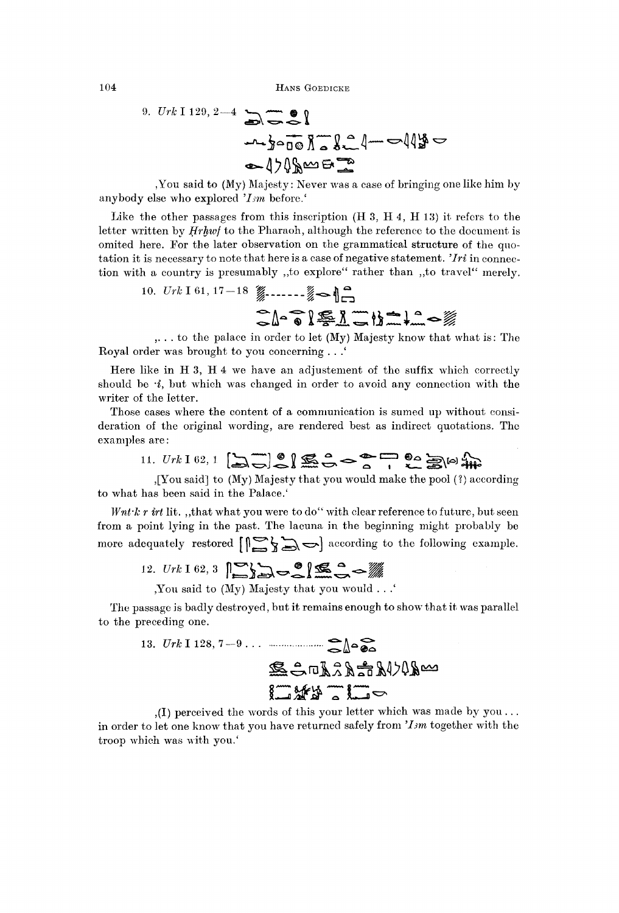9. *Urk* I 129, 2—4

,You said to (My) Majesty: Never was a case of bringing one like him by anybody else who explored *'Ism* before.'

Like the other passages from this inscription (H 3, H 4, H 13) it refers to the letter written by *Hrhwf* to the Pharaoh, although the reference to the document is omited here. For the later observation on the grammatical structure of the quotation it is necessary to note that here is a case of negative statement. *'Iri* in connection with a country is presumably ,,to explore" rather than ,,to travel" merely.

10. 
$$
Urk\ 161, 17-18
$$

,. . . to the palace in order to let (My) Majesty know that what is: The Royal order was brought to you concerning . . .'

Here like in H 3, H 4 we have an adjustement of the suffix which correctly should be  $\cdot i$ , but which was changed in order to avoid any connection with the writer of the letter.

Those cases where the content of a communication is sumed up without consideration of the original wording, are rendered best as indirect quotations. The examples are:

11. *Urk* 1 62, 1 
$$
[\sum_{n=1}^{\infty} \mathcal{L}]
$$
  $\sum_{n=1}^{\infty} \mathcal{L} \sum_{n=1}^{\infty} \mathcal{L} \sum_{n=1}^{\infty} [\omega_{n+1}^2]$ 

,[You said] to (My) Majesty that you would make the pool (?) according to what has been said in the Palace.'

*Wnt-k r irt* lit., that what you were to do" with clear reference to future, but seen from a point lying in the past. The lacuna in the beginning might probably be more adequately restored  $\left[\right]$   $\rightarrow$   $\rightarrow$   $\rightarrow$  1 according to the following example.

12. 
$$
Urk \neq 62, 3
$$
  $\sum_{i=1}^{n} \sum_{j=1}^{n} \sum_{j=1}^{n} \sum_{j=1}^{n} \sum_{j=1}^{n} \sum_{j=1}^{n} \sum_{j=1}^{n} \sum_{j=1}^{n} \sum_{j=1}^{n} \sum_{j=1}^{n} \sum_{j=1}^{n} \sum_{j=1}^{n} \sum_{j=1}^{n} \sum_{j=1}^{n} \sum_{j=1}^{n} \sum_{j=1}^{n} \sum_{j=1}^{n} \sum_{j=1}^{n} \sum_{j=1}^{n} \sum_{j=1}^{n} \sum_{j=1}^{n} \sum_{j=1}^{n} \sum_{j=1}^{n} \sum_{j=1}^{n} \sum_{j=1}^{n} \sum_{j=1}^{n} \sum_{j=1}^{n} \sum_{j=1}^{n} \sum_{j=1}^{n} \sum_{j=1}^{n} \sum_{j=1}^{n} \sum_{j=1}^{n} \sum_{j=1}^{n} \sum_{j=1}^{n} \sum_{j=1}^{n} \sum_{j=1}^{n} \sum_{j=1}^{n} \sum_{j=1}^{n} \sum_{j=1}^{n} \sum_{j=1}^{n} \sum_{j=1}^{n} \sum_{j=1}^{n} \sum_{j=1}^{n} \sum_{j=1}^{n} \sum_{j=1}^{n} \sum_{j=1}^{n} \sum_{j=1}^{n} \sum_{j=1}^{n} \sum_{j=1}^{n} \sum_{j=1}^{n} \sum_{j=1}^{n} \sum_{j=1}^{n} \sum_{j=1}^{n} \sum_{j=1}^{n} \sum_{j=1}^{n} \sum_{j=1}^{n} \sum_{j=1}^{n} \sum_{j=1}^{n} \sum_{j=1}^{n} \sum_{j=1}^{n} \sum_{j=1}^{n} \sum_{j=1}^{n} \sum_{j=1}^{n} \sum_{j=1}^{n} \sum_{j=1}^{n} \sum_{j=1}^{n} \sum_{j=1}^{n} \sum_{j=1}^{n} \sum_{j=1}^{n} \sum_{j=1}^{n} \sum_{j=1}^{n} \sum_{j=1}^{n} \sum_{j=1}^{n} \sum_{j=1}^{n} \sum_{$ 

The passage is badly destroyed, but it remains enough to show that it was parallel to the preceding one.

13. 
$$
Urk \perp 128, 7-9...
$$
  
\n $\sum_{m} G_m R \hat{A} \hat{B} \hat{B} \hat{A} \hat{A} \hat{B}$   
\n $\sum_{m} G_m R \hat{B} \hat{B} \hat{B} \hat{A} \hat{A} \hat{B}$ 

,(I) perceived the words of this your letter which was made by you .. . in order to let one know that you have returned safely from *'Ism* together with the troop which was with you.'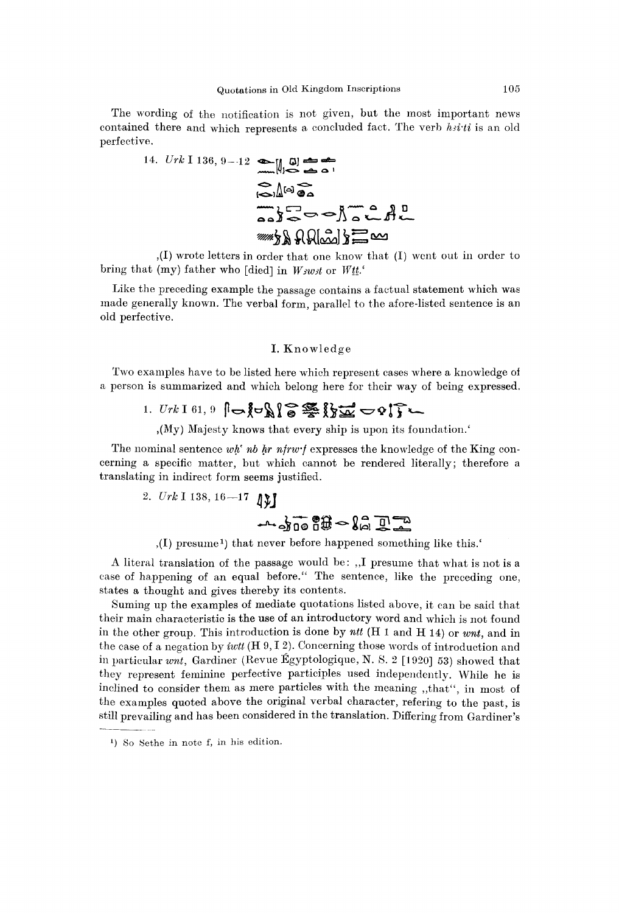The wording of the notification is not given, but the most important news contained there and which represents a concluded fact. The verb  $h$ *iti* is an old perfective.

14. 
$$
Urk \le 136, 9-12
$$
  
\n $W = \frac{1}{2}$   
\n $W = \frac{1}{2}$   
\n $W = \frac{1}{2}$   
\n $W = \frac{1}{2}$   
\n $W = \frac{1}{2}$   
\n $W = \frac{1}{2}$   
\n $W = \frac{1}{2}$ 

,(I) wrote letters in order that one know that (I) went out in order to bring that (my) father who [died] in *Wswst* or *Wtt.'* 

Like the preceding example the passage contains a factual statement which was made generally known. The verbal form, parallel to the afore-listed sentence is an old perfective.

### I. Knowledge

Two examples have to be listed here which represent cases where a knowledge of a person is summarized and which belong here for their way of being expressed.

## 1.  $Urk$  I 61, 9  $\left|\nabla\left(\sum_{k=1}^{n} x_{k}\right)\right| \leq \frac{1}{2}$

,(My) Majesty knows that every ship is upon its foundation.'

The nominal sentence *wh' nb hr nfrwf* expresses the knowledge of the King concerning a specific matter, but which cannot be rendered literally; therefore a translating in indirect form seems justified.

2. 
$$
Urk
$$
 1 138, 16-17 1)

,(I) presume <sup>1</sup> ) that never before happened something like this.'

A literal translation of the passage would be: ,,I presume that what is not is a case of happening of an equal before." The sentence, like the preceding one. states a thought and gives thereby its contents.

Suming up the examples of mediate quotations listed above, it can be said that their main characteristic is the use of an introductory word and which is not found in the other group. This introduction is done by *ntt* (H 1 and H 14) or *writ,* and in the case of a negation by *iwtt* (H 9,1 2). Concerning those words of introduction and in particular *writ,* Gardiner (Revue Egyptologique, N. S. 2 [1920] 53) showed that they represent feminine perfective participles used independently. While he is inclined to consider them as mere particles with the meaning ,,that", in most of the examples quoted above the original verbal character, refering to the past, is still prevailing and has been considered in the translation. Differing from Gardiner's

<sup>&</sup>lt;sup>1</sup>) So Sethe in note f, in his edition.